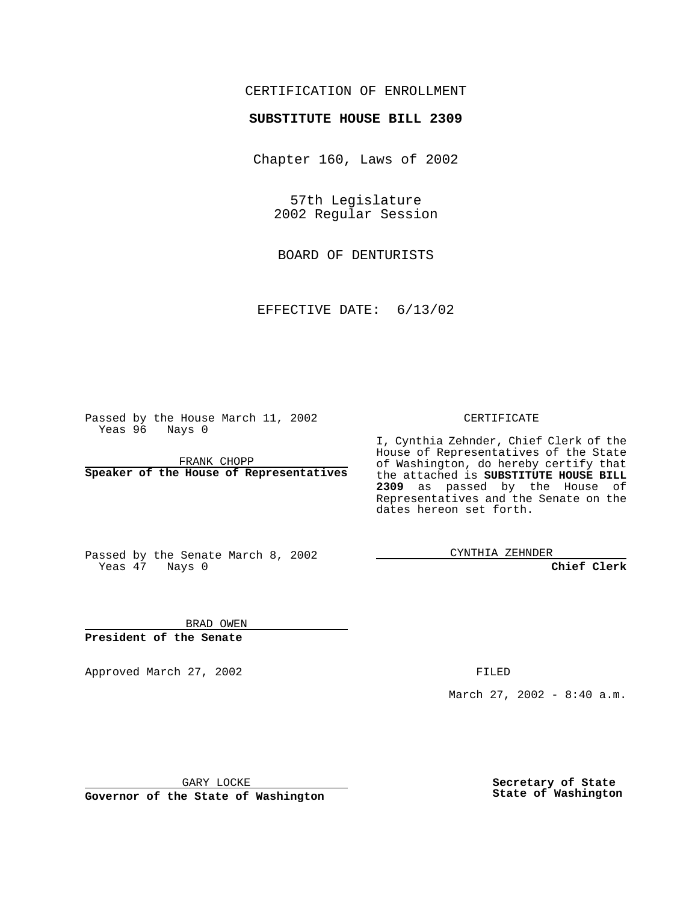### CERTIFICATION OF ENROLLMENT

# **SUBSTITUTE HOUSE BILL 2309**

Chapter 160, Laws of 2002

57th Legislature 2002 Regular Session

BOARD OF DENTURISTS

EFFECTIVE DATE: 6/13/02

Passed by the House March 11, 2002 Yeas 96 Nays 0

FRANK CHOPP **Speaker of the House of Representatives** CERTIFICATE

I, Cynthia Zehnder, Chief Clerk of the House of Representatives of the State of Washington, do hereby certify that the attached is **SUBSTITUTE HOUSE BILL 2309** as passed by the House of Representatives and the Senate on the dates hereon set forth.

Passed by the Senate March 8, 2002 Yeas 47 Nays 0

CYNTHIA ZEHNDER

**Chief Clerk**

BRAD OWEN **President of the Senate**

Approved March 27, 2002 **FILED** 

March 27, 2002 - 8:40 a.m.

GARY LOCKE

**Governor of the State of Washington**

**Secretary of State State of Washington**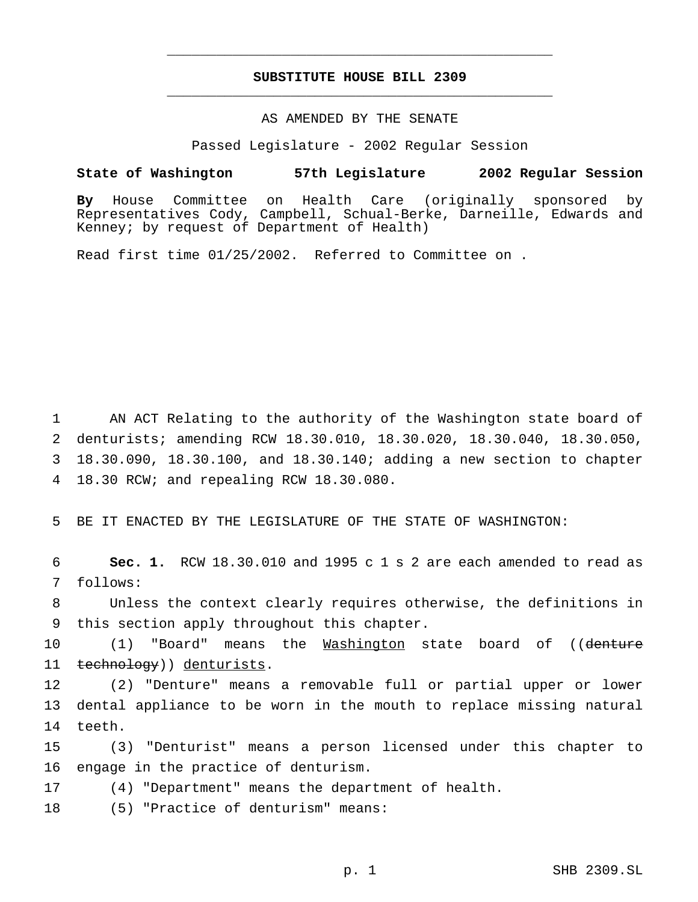### **SUBSTITUTE HOUSE BILL 2309** \_\_\_\_\_\_\_\_\_\_\_\_\_\_\_\_\_\_\_\_\_\_\_\_\_\_\_\_\_\_\_\_\_\_\_\_\_\_\_\_\_\_\_\_\_\_\_

\_\_\_\_\_\_\_\_\_\_\_\_\_\_\_\_\_\_\_\_\_\_\_\_\_\_\_\_\_\_\_\_\_\_\_\_\_\_\_\_\_\_\_\_\_\_\_

## AS AMENDED BY THE SENATE

Passed Legislature - 2002 Regular Session

#### **State of Washington 57th Legislature 2002 Regular Session**

**By** House Committee on Health Care (originally sponsored by Representatives Cody, Campbell, Schual-Berke, Darneille, Edwards and Kenney; by request of Department of Health)

Read first time 01/25/2002. Referred to Committee on .

 AN ACT Relating to the authority of the Washington state board of denturists; amending RCW 18.30.010, 18.30.020, 18.30.040, 18.30.050, 18.30.090, 18.30.100, and 18.30.140; adding a new section to chapter 18.30 RCW; and repealing RCW 18.30.080.

5 BE IT ENACTED BY THE LEGISLATURE OF THE STATE OF WASHINGTON:

6 **Sec. 1.** RCW 18.30.010 and 1995 c 1 s 2 are each amended to read as 7 follows:

8 Unless the context clearly requires otherwise, the definitions in 9 this section apply throughout this chapter.

10 (1) "Board" means the Washington state board of ((denture 11 technology)) denturists.

12 (2) "Denture" means a removable full or partial upper or lower 13 dental appliance to be worn in the mouth to replace missing natural 14 teeth.

15 (3) "Denturist" means a person licensed under this chapter to 16 engage in the practice of denturism.

17 (4) "Department" means the department of health.

18 (5) "Practice of denturism" means: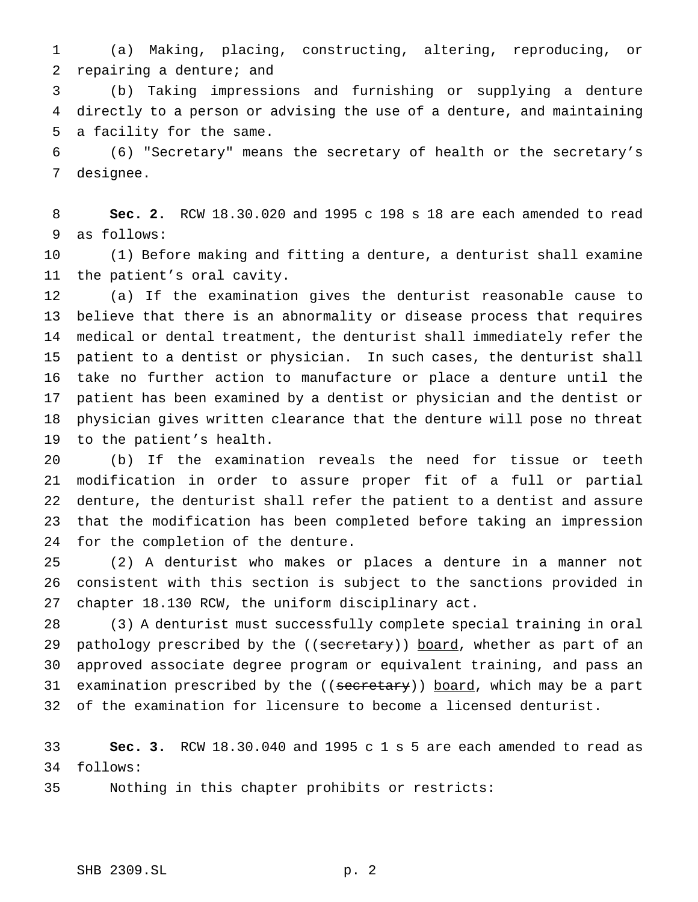(a) Making, placing, constructing, altering, reproducing, or repairing a denture; and

 (b) Taking impressions and furnishing or supplying a denture directly to a person or advising the use of a denture, and maintaining a facility for the same.

 (6) "Secretary" means the secretary of health or the secretary's designee.

 **Sec. 2.** RCW 18.30.020 and 1995 c 198 s 18 are each amended to read as follows:

 (1) Before making and fitting a denture, a denturist shall examine the patient's oral cavity.

 (a) If the examination gives the denturist reasonable cause to believe that there is an abnormality or disease process that requires medical or dental treatment, the denturist shall immediately refer the patient to a dentist or physician. In such cases, the denturist shall take no further action to manufacture or place a denture until the patient has been examined by a dentist or physician and the dentist or physician gives written clearance that the denture will pose no threat to the patient's health.

 (b) If the examination reveals the need for tissue or teeth modification in order to assure proper fit of a full or partial denture, the denturist shall refer the patient to a dentist and assure that the modification has been completed before taking an impression for the completion of the denture.

 (2) A denturist who makes or places a denture in a manner not consistent with this section is subject to the sanctions provided in chapter 18.130 RCW, the uniform disciplinary act.

 (3) A denturist must successfully complete special training in oral 29 pathology prescribed by the ((secretary)) board, whether as part of an approved associate degree program or equivalent training, and pass an 31 examination prescribed by the ((secretary)) board, which may be a part of the examination for licensure to become a licensed denturist.

 **Sec. 3.** RCW 18.30.040 and 1995 c 1 s 5 are each amended to read as follows:

Nothing in this chapter prohibits or restricts: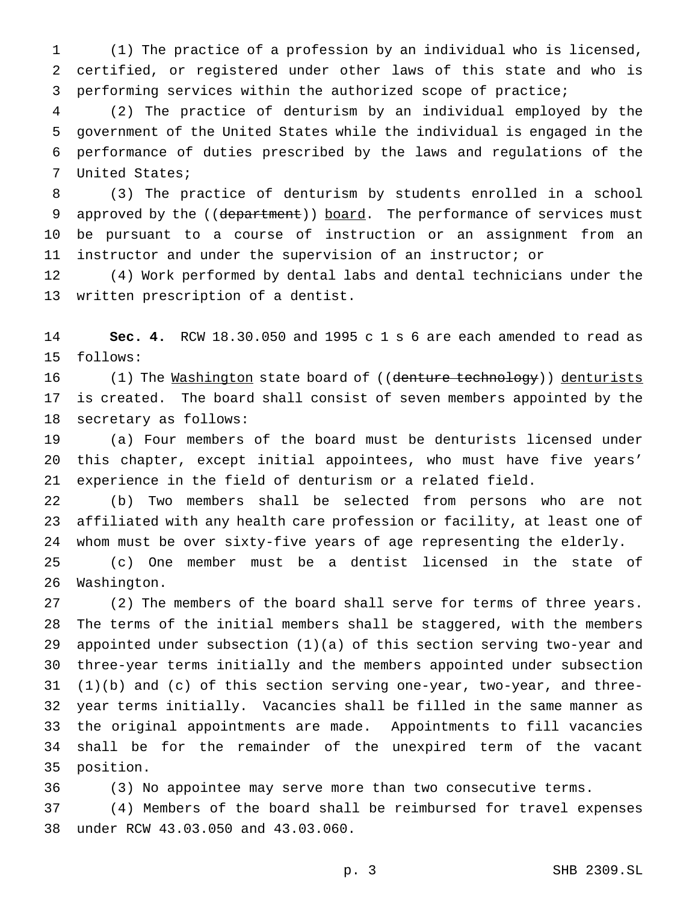(1) The practice of a profession by an individual who is licensed, certified, or registered under other laws of this state and who is performing services within the authorized scope of practice;

 (2) The practice of denturism by an individual employed by the government of the United States while the individual is engaged in the performance of duties prescribed by the laws and regulations of the United States;

 (3) The practice of denturism by students enrolled in a school 9 approved by the ((department)) board. The performance of services must be pursuant to a course of instruction or an assignment from an instructor and under the supervision of an instructor; or

 (4) Work performed by dental labs and dental technicians under the written prescription of a dentist.

 **Sec. 4.** RCW 18.30.050 and 1995 c 1 s 6 are each amended to read as follows:

16 (1) The <u>Washington</u> state board of ((denture technology)) denturists is created. The board shall consist of seven members appointed by the secretary as follows:

 (a) Four members of the board must be denturists licensed under this chapter, except initial appointees, who must have five years' experience in the field of denturism or a related field.

 (b) Two members shall be selected from persons who are not affiliated with any health care profession or facility, at least one of whom must be over sixty-five years of age representing the elderly.

 (c) One member must be a dentist licensed in the state of Washington.

 (2) The members of the board shall serve for terms of three years. The terms of the initial members shall be staggered, with the members appointed under subsection (1)(a) of this section serving two-year and three-year terms initially and the members appointed under subsection (1)(b) and (c) of this section serving one-year, two-year, and three- year terms initially. Vacancies shall be filled in the same manner as the original appointments are made. Appointments to fill vacancies shall be for the remainder of the unexpired term of the vacant position.

(3) No appointee may serve more than two consecutive terms.

 (4) Members of the board shall be reimbursed for travel expenses under RCW 43.03.050 and 43.03.060.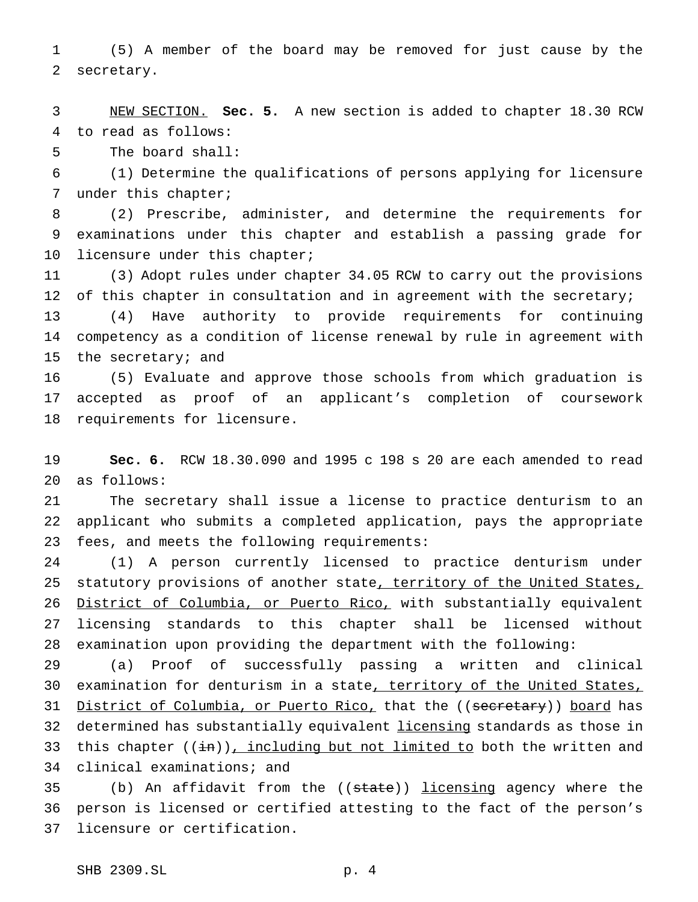(5) A member of the board may be removed for just cause by the secretary.

 NEW SECTION. **Sec. 5.** A new section is added to chapter 18.30 RCW to read as follows:

The board shall:

 (1) Determine the qualifications of persons applying for licensure under this chapter;

 (2) Prescribe, administer, and determine the requirements for examinations under this chapter and establish a passing grade for licensure under this chapter;

 (3) Adopt rules under chapter 34.05 RCW to carry out the provisions of this chapter in consultation and in agreement with the secretary; (4) Have authority to provide requirements for continuing competency as a condition of license renewal by rule in agreement with

the secretary; and

 (5) Evaluate and approve those schools from which graduation is accepted as proof of an applicant's completion of coursework requirements for licensure.

 **Sec. 6.** RCW 18.30.090 and 1995 c 198 s 20 are each amended to read as follows:

 The secretary shall issue a license to practice denturism to an applicant who submits a completed application, pays the appropriate fees, and meets the following requirements:

 (1) A person currently licensed to practice denturism under 25 statutory provisions of another state, territory of the United States, 26 District of Columbia, or Puerto Rico, with substantially equivalent licensing standards to this chapter shall be licensed without examination upon providing the department with the following:

 (a) Proof of successfully passing a written and clinical 30 examination for denturism in a state, territory of the United States, 31 District of Columbia, or Puerto Rico, that the ((secretary)) board has 32 determined has substantially equivalent *licensing* standards as those in 33 this chapter  $((\frac{1}{n})^2)$ , including but not limited to both the written and clinical examinations; and

35 (b) An affidavit from the ((state)) licensing agency where the person is licensed or certified attesting to the fact of the person's licensure or certification.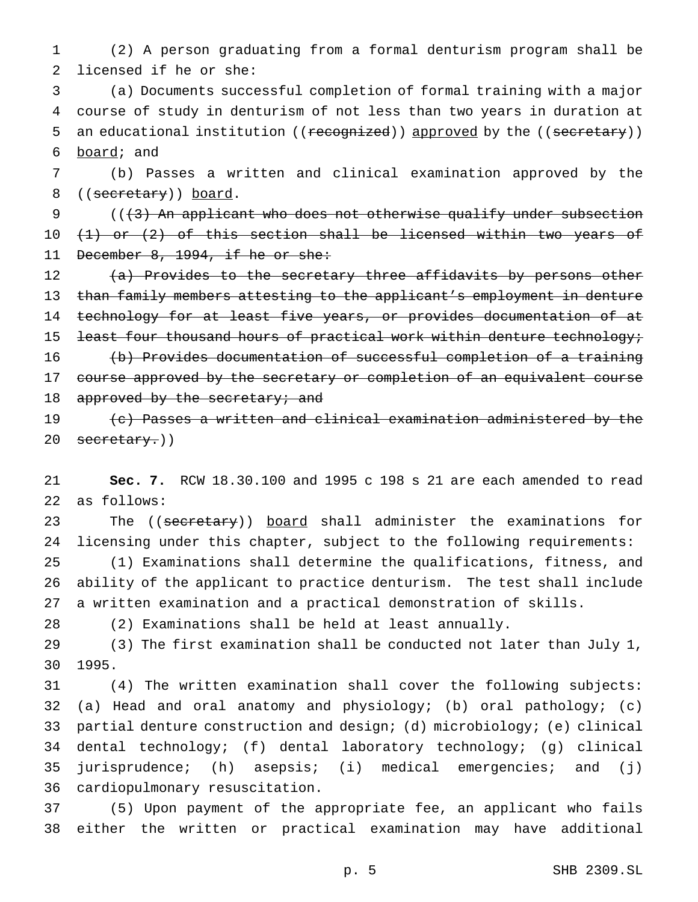(2) A person graduating from a formal denturism program shall be licensed if he or she:

 (a) Documents successful completion of formal training with a major course of study in denturism of not less than two years in duration at 5 an educational institution ((recognized)) approved by the ((secretary)) board; and

 (b) Passes a written and clinical examination approved by the 8 ((secretary)) board.

9 (( $\{3\}$ ) An applicant who does not otherwise qualify under subsection  $(1)$  or  $(2)$  of this section shall be licensed within two years of 11 December 8, 1994, if he or she:

12 (a) Provides to the secretary three affidavits by persons other than family members attesting to the applicant's employment in denture 14 technology for at least five years, or provides documentation of at 15 least four thousand hours of practical work within denture technology; (b) Provides documentation of successful completion of a training 17 course approved by the secretary or completion of an equivalent course 18 approved by the secretary; and (c) Passes a written and clinical examination administered by the

20 secretary.))

 **Sec. 7.** RCW 18.30.100 and 1995 c 198 s 21 are each amended to read as follows:

23 The ((secretary)) board shall administer the examinations for licensing under this chapter, subject to the following requirements:

 (1) Examinations shall determine the qualifications, fitness, and ability of the applicant to practice denturism. The test shall include a written examination and a practical demonstration of skills.

(2) Examinations shall be held at least annually.

 (3) The first examination shall be conducted not later than July 1, 1995.

 (4) The written examination shall cover the following subjects: (a) Head and oral anatomy and physiology; (b) oral pathology; (c) partial denture construction and design; (d) microbiology; (e) clinical dental technology; (f) dental laboratory technology; (g) clinical jurisprudence; (h) asepsis; (i) medical emergencies; and (j) cardiopulmonary resuscitation.

 (5) Upon payment of the appropriate fee, an applicant who fails either the written or practical examination may have additional